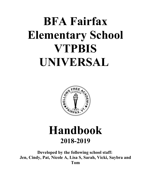# **BFA Fairfax Elementary School VTPBIS UNIVERSAL**



## **Handbook 2018-2019**

**Developed by the following school staff: Jen, Cindy, Pat, Nicole A, Lisa S, Sarah, Vicki, Saybra and Tom**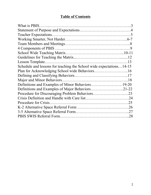## **Table of Contents**

| Lesson Template.                                                    |  |
|---------------------------------------------------------------------|--|
| Schedule and lessons for teaching the School wide expectations14-15 |  |
| Plan for Acknowledging School wide Behaviors16                      |  |
|                                                                     |  |
|                                                                     |  |
| Definitions and Examples of Minor Behaviors19-20                    |  |
| Definitions and Examples of Major Behaviors21-22                    |  |
|                                                                     |  |
|                                                                     |  |
|                                                                     |  |
|                                                                     |  |
|                                                                     |  |
|                                                                     |  |
|                                                                     |  |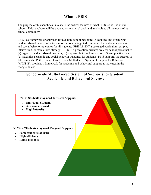## **What is PBIS**

The purpose of this handbook is to share the critical features of what PBIS looks like in our school. This handbook will be updated on an annual basis and available to all members of our school community.

PBIS is a framework or approach for assisting school personnel in adopting and organizing evidence-based behavioral interventions into an integrated continuum that enhances academic and social behavior outcomes for all students. PBIS IS NOT a packaged curriculum, scripted intervention, or manualized strategy. PBIS IS a prevention-oriented way for school personnel to (a) organize evidence-based practices, (b) improve their implementation of those practices, and (c) maximize academic and social behavior outcomes for students. PBIS supports the success of ALL students. PBIS, often referred to as a Multi-Tiered System of Support for Behavior (MTSS-B), provides a framework for academic and behavioral support as indicated in the triangle below.

## **School-wide Multi-Tiered System of Supports for Student Academic and Behavioral Success**

#### **1-5% of Students may need Intensive Supports**

- **Individual Students**
- **Assessment-based**
- **High Intensity**

#### **10-15% of Students may need Targeted Supports**

- **Some students (at-risk)**
- **High efficiency**
- **Rapid response**

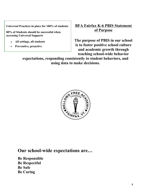**Universal Practices in place for 100% of students**

**80% of Students should be successful when accessing Universal Supports**

- **All settings, all students**
- **Preventive, proactive**

**BFA Fairfax K-6 PBIS Statement of Purpose**

**The purpose of PBIS in our school is to foster positive school culture and academic growth through teaching school-wide behavior** 

**expectations, responding consistently to student behaviors, and using data to make decisions.**



## **Our school-wide expectations are…**

**Be Responsible Be Respectful Be Safe Be Caring**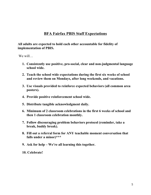## **BFA Fairfax PBIS Staff Expectations**

### **All adults are expected to hold each other accountable for fidelity of implementation of PBIS.**

We will

- **1. Consistently use positive, pro-social, clear and non-judgmental language school wide.**
- **2. Teach the school wide expectations during the first six weeks of school and review them on Mondays, after long weekends, and vacations.**
- **3. Use visuals provided to reinforce expected behaviors (all common area posters).**
- **4. Provide positive reinforcement school wide.**
- **5. Distribute tangible acknowledgment daily.**
- **6. Minimum of 2 classroom celebrations in the first 6 weeks of school and then 1 classroom celebration monthly.**
- **7. Follow discouraging problem behaviors protocol (reminder, take a break, buddy break).**
- **8. Fill out a referral form for ANY teachable moment conversation that falls under a minor)\*\*\***
- **9. Ask for help We're all learning this together.**

**10. Celebrate!**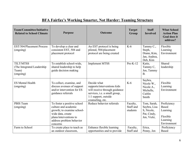| <b>Team/Committee/Initiative</b><br><b>Related to School Climate</b>  | <b>Purpose</b>                                                                                                                                                           | <b>Outcome</b>                                                                                                                                           | <b>Target</b><br>Group            | <b>Staff</b><br><b>Involved</b>                                         | <b>What School</b><br><b>Action Plan</b><br><b>Goal does it</b><br>address? |
|-----------------------------------------------------------------------|--------------------------------------------------------------------------------------------------------------------------------------------------------------------------|----------------------------------------------------------------------------------------------------------------------------------------------------------|-----------------------------------|-------------------------------------------------------------------------|-----------------------------------------------------------------------------|
| EST/504/Placement Process<br>(ongoing)                                | To develop a clear and<br>consistent EST, 504 and<br>placement protocol                                                                                                  | An EST protocol is being<br>piloted, 504/placement<br>protocol are being created                                                                         | $K-6$                             | Tammy C.,<br>Steph,<br>Diann, Kim,<br>Jan, Andrea,<br>Deb, Kim          | Flexible<br>Learning<br>Environment                                         |
| <b>TILT/MTSS</b><br>(The Integrated Leadership)<br>Team)<br>(ongoing) | To establish school-wide,<br>shared leadership to help<br>guide decision making                                                                                          | <b>Implement MTSS</b>                                                                                                                                    | $Pre-K-12$                        | Katie,<br>Tammy C,<br>Jen, Tammy<br><b>B.</b>                           | Shared<br>leadership                                                        |
| <b>ES Mental Health</b><br>(ongoing)                                  | To collect, examine, and<br>discuss avenues of support<br>and/or intervention for ES<br>guidance referrals                                                               | Decide what<br>supports/interventions kids<br>will receive through guidance<br>services, i.e. a small group,<br>1:1 support, outside<br>counseling, etc. | $K-6$                             | Saybra,<br>Nicole W.,<br>Nicole A.,<br>Michelle,<br>Caitlin<br>Smith    | Flexible<br>Learning<br>Environment                                         |
| PBIS Team<br>(ongoing)                                                | To foster a positive school<br>culture and academic<br>growth; to examine school-<br>wide data, create<br>plans/interventions to<br>address problem behavior<br>concerns | Reduce behavior referrals                                                                                                                                | Faculty,<br>Staff and<br>students | Tom, Sarah,<br>Saybra, Lisa<br>S, Nicole,<br>Pat, Cindy,<br>Jen, Vicki, | Proficiency<br>Based<br>Learning<br>Flexible<br>Learning<br>Environment     |
| Farm to School                                                        | To create place to teach as<br>an outdoor classroom,                                                                                                                     | Enhance flexible learning<br>opportunities and to provide                                                                                                | Faculty,<br>Staff and             | Erica,<br>Penny, Jen                                                    | Proficiency<br>Based                                                        |

## **BFA Fairfax's Working Smarter, Not Harder: Teaming Structure**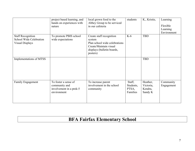|                                                                        | project based learning, and<br>hands on experiences with                        | local grown food to the<br>Abbey Group to be serviced                                                                                   | students                                 | K., Kristie,                                | Learning                            |
|------------------------------------------------------------------------|---------------------------------------------------------------------------------|-----------------------------------------------------------------------------------------------------------------------------------------|------------------------------------------|---------------------------------------------|-------------------------------------|
|                                                                        | nature                                                                          | in our cafeteria                                                                                                                        |                                          |                                             | Flexible<br>Learning<br>Environment |
| <b>Staff Recognition</b><br>School Wide Celebration<br>Visual Displays | To promote PBIS school<br>wide expectations                                     | Create staff recognition<br>system<br>Plan school wide celebrations<br>Create/Maintain visual<br>displays (bulletin boards,<br>posters) | $K-6$                                    | <b>TBD</b>                                  |                                     |
| Implementations of MTSS                                                |                                                                                 |                                                                                                                                         |                                          | <b>TBD</b>                                  |                                     |
| <b>Family Engagement</b>                                               | To foster a sense of<br>community and<br>involvement in a prek-5<br>environment | To increase parent<br>involvement in the school<br>community                                                                            | Staff,<br>Students,<br>PTSA,<br>Families | Heather,<br>Victoria,<br>Kendra,<br>Sandy K | Community<br>Engagement             |

## **BFA Fairfax Elementary School**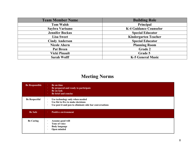| <b>Team Member Name</b> | <b>Building Role</b>          |
|-------------------------|-------------------------------|
| <b>Tom Walsh</b>        | Principal                     |
| Saybra Varisano         | <b>K-4 Guidance Counselor</b> |
| <b>Jennifer Bockus</b>  | <b>Special Educator</b>       |
| <b>Lisa Sweet</b>       | <b>Kindergarten Teacher</b>   |
| <b>Cindy Anderson</b>   | <b>Special Educator</b>       |
| <b>Nicole Ahern</b>     | <b>Planning Room</b>          |
| <b>Pat Breen</b>        | <b>Grade 2</b>                |
| <b>Vicki Pinault</b>    | Grade 5                       |
| <b>Sarah Wolff</b>      | <b>K-5 General Music</b>      |

## **Meeting Norms**

| <b>Be Responsible</b> | Be on time<br>$\bullet$<br>Be prepared and ready to participate<br>$\bullet$<br>Be on task<br>$\bullet$<br>Be brief and concise<br>$\bullet$                            |
|-----------------------|-------------------------------------------------------------------------------------------------------------------------------------------------------------------------|
| <b>Be Respectful</b>  | Use technology only when needed<br>$\bullet$<br>Use fist to five to make decisions<br>$\bullet$<br>Use post it and pen to eliminate side bar conversations<br>$\bullet$ |
| <b>Be Safe</b>        | <b>Positive environment</b><br>$\bullet$                                                                                                                                |
| <b>Be Caring</b>      | Assume good will<br>$\bullet$<br>Tone of voice<br>$\bullet$<br><b>Body language</b><br>$\bullet$<br>Open minded<br>$\cdot$                                              |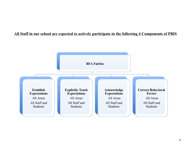## **All Staff in our school are expected to actively participate in the following 4 Components of PBIS**

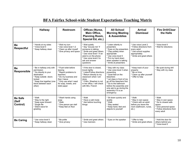## **BFA Fairfax School-wide Student Expectations Teaching Matrix**

|                                     | <b>Hallway</b>                                                                                                                                                               | <b>Restroom</b>                                                                                                                                                                 | Offices (Nurse,<br>Main Office,<br><b>Planning Room,</b><br>Special Ed, etc.)                                                                                                                                     | <b>All School</b><br><b>Morning Meeting</b><br>& Assemblies                                                                                                                                                                                                                         | <b>Arrival</b><br><b>Dismissal</b>                                                                                                   | <b>Fire Drill/Clear</b><br>the Halls                                                                                               |
|-------------------------------------|------------------------------------------------------------------------------------------------------------------------------------------------------------------------------|---------------------------------------------------------------------------------------------------------------------------------------------------------------------------------|-------------------------------------------------------------------------------------------------------------------------------------------------------------------------------------------------------------------|-------------------------------------------------------------------------------------------------------------------------------------------------------------------------------------------------------------------------------------------------------------------------------------|--------------------------------------------------------------------------------------------------------------------------------------|------------------------------------------------------------------------------------------------------------------------------------|
| Be<br><b>Respectful</b>             | * Hands at my sides<br>* Voice level 0<br>* Keep hallway clean                                                                                                               | * Wait my turn<br>* Use voice level 1-2<br>* Clean up after myself<br>* Give privacy and space                                                                                  | * Wait quietly<br>* Say "excuse me" if<br>someone is talking<br>* Smile and greet others<br>* Use voice level 1 if an<br>adult is on the phone<br>* Use voice level 2 to<br>ask and answer<br>questions           | * Listen silently to<br>presenters<br><b>Eyes on the presenters</b><br>* Clap politely when<br>appropriate<br>* Use voice level 0<br>* Put my hand down<br>when speaker is talking<br>* Smile at presenters                                                                         | * Use voice Level 2<br>* Follow directions from<br>every adult<br>* Use school supplies<br>appropriately<br>* Smile and greet others | * Voice level 0<br>* Wait for directions                                                                                           |
| Be<br><b>Responsible</b>            | Be in hallway only with<br>permission<br>* Go directly to your<br>destination<br>* Keep outside doors<br>locked<br>* Keep line together (one<br>block between each<br>other) | * Flush toilet before<br>leaving<br>* Report problems to<br>teachers<br>* Do my business and<br>then I leave<br>* Only use what I need<br>for soap, towels, and<br>toilet paper | * If the door is closed,<br>knock lightly<br>* Listen/Follow directions<br>* Return directly to my<br>classroom when I am<br>done.<br>* If Mrs. Sheehan is not<br>in her office, I will check<br>with Mrs. French | * Stay with my class<br>* Use voice level 3 when<br>presenting<br>* Quiet feet on the<br>bleachers<br>* Let class in front of me<br>go off the bleachers first<br>* Go to the bathroom<br>before the assembly and<br>only ask to go during the<br>assembly if it is an<br>emergency | * Keep track of your<br>property<br>* Be on time<br>* Clean up after yourself<br>* Offer to help                                     | Be quiet during drill<br>* Stay with my class                                                                                      |
| <b>Be Safe</b><br>(Self<br>Control) | * Walk<br>* Stay to the right<br>* Keep eyes forward<br>* Single file<br>* Silent wave for<br>greeting                                                                       | * Wash hands using<br>soap<br>* Walk<br>* One person per stall<br>* Keep feet on floor                                                                                          | * Walk<br>* Have a calm body<br>* Ask before touching<br>things                                                                                                                                                   | * Sit down quickly and<br>quietly<br>* Walk<br>* Stay seated<br>* Keep hand, feet and<br>objects to yourself                                                                                                                                                                        | * Walk<br>* Stay in own space<br>* Check with an adult<br>before you leave the<br>room (bathroom, nurse,<br>$etc.$ )                 | * Walk<br>* Stay in own space<br>* Go to closest safe<br>space<br>* Give personal space<br>* Follow directions from<br>every adult |
| <b>Be Caring</b>                    | * Use voice level 0<br>* Keep hallway clean                                                                                                                                  | <b>Be polite</b><br>* Give privacy                                                                                                                                              | * Smile and greet others<br>* Use manners                                                                                                                                                                         | Eyes on the speaker                                                                                                                                                                                                                                                                 | * Offer to help<br>* Smile and greet others                                                                                          | * Hold the door for<br>others behind you<br>* Voice level 0                                                                        |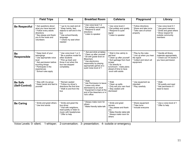|                                  | <b>Field Trips</b>                                                                                                                                                                | <b>Bus</b>                                                                                                                                                   | <b>Breakfast Room</b>                                                                                                                                                                                    | <b>Cafeteria</b>                                                                                                                                                                                    | Playground                                                                                          | Library                                                                                                                       |
|----------------------------------|-----------------------------------------------------------------------------------------------------------------------------------------------------------------------------------|--------------------------------------------------------------------------------------------------------------------------------------------------------------|----------------------------------------------------------------------------------------------------------------------------------------------------------------------------------------------------------|-----------------------------------------------------------------------------------------------------------------------------------------------------------------------------------------------------|-----------------------------------------------------------------------------------------------------|-------------------------------------------------------------------------------------------------------------------------------|
| <b>Be Respectful</b>             | * Ask questions about<br>what you have learned<br>* Follow every adults<br>directions<br>* Say please and thank<br>you to the hosts and<br>volunteers                             | I go to my seat and sit<br>* Keep hands, feet,<br>objects to self and in the<br>bus<br>* Use school-friendly<br>language<br>* I share my seat when<br>needed | * Use voice level 1-2<br>* Eat politely and quietly<br>* Respond to adult<br>directions<br>* Listen to speaker                                                                                           | * Use voice level 2<br>Eat politely and quietly<br>* Respond to quiet<br>signal<br>* Listen to speaker                                                                                              | * Follow directions<br><b>Share and take turns</b><br>* Take care of school<br>property             | * Use voice level 0-1<br>* Use good manners<br>* Smile and greet others<br>* Show respect for<br>outside community<br>members |
| <b>Be</b><br><b>Responsible</b>  | Keep track of your<br>belongings<br>* Use appropriate voice<br>level<br>* Ask permission before<br>touching things<br>* Participate in the<br>experiences<br>* School rules apply | Use voice level 1 or 2<br>Be a positive model for<br>other students<br>* Pick up trash and<br>throw it out when the<br>bus has stopped<br>completely.        | Eat and drink at tables<br>* Clean up after yourself<br>* Sit with grade level on<br><b>Bleachers</b><br>* Use electronics<br>responsibly by playing<br>appropriate games at a<br>quiet noise level of 1 | * Wait in line calmly to<br>get food<br>* Clean up after yourself<br>* Sort garbage from food<br>scraps<br>* Go directly to<br>lunchroom - make plans<br>ahead of time to have<br>lunch with adults | Play by the rules<br>* Line up when you hear<br>the signal<br>* Collect and return all<br>equipment | * Handle all library<br>materials appropriately<br>* Check out YA books if<br>you have permission                             |
| <b>Be Safe</b><br>(Self-Control) | * Stay with my group<br>* Keep hands and feet to<br>vourself                                                                                                                      | Remain seated<br>* Follow my driver's<br>directions the first time<br>* Walk to and from the<br>bus                                                          | * Walk<br>* Ask Permission to leave<br>* Leave only when<br>dismissed by an adult<br>* Equipment is kept at the<br>end of the bleachers or in<br>Val's office                                            | * Walk<br>Clean up spills<br>* Only eat your own food<br>* Stay seated until<br>dismissed                                                                                                           | * Use equipment as<br>intended<br>* Play carefully                                                  | * Walk<br>* Sit quietly and read<br>* Ask permission if I<br>need to leave                                                    |
| <b>Be Caring</b>                 | * Smile and greet others<br>* Use kind words                                                                                                                                      | Smile and greet the<br>bus driver<br>* Visit with neighbors,<br>read quietly or listen to<br>music with headphones<br>* Offer to help                        | * Always make room for<br>others<br>* Make friendly table-talk                                                                                                                                           | * Smile and greet<br>servers<br>* Say please and thank<br>vou<br>* Make friendly table-talk<br>* Always make room for<br>others                                                                     | * Share equipment<br>* Take turns<br>* Include everyone                                             | * Use a voice level of 1<br>* Offer to help                                                                                   |

Voice Levels: 0- silent; 1-whisper; 2-conversation; 3- presentation; 4- outside or emergency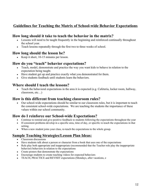## **Guidelines for Teaching the Matrix of School-wide Behavior Expectations**

### **How long should it take to teach the behavior in the matrix?**

- Lessons will need to be taught frequently in the beginning and reinforced continually throughout the school year.
- Teach lessons repeatedly through the first two to three weeks of school.

## **How long should the lesson be?**

Keep it short, 10-15 minutes per lesson.

## **How do you "teach" behavior expectations?**

- Teach, model, demonstrate and practice the way you want kids to behave in relation to the expectation being taught.
- Have student get up and practice exactly what you demonstrated for them.
- Give students feedback until students learn the behaviors.

## **Where should I teach the lessons?**

 Teach the behavioral expectations in the area it is expected (e.g. Cafeteria, locker room, hallway, classroom, etc…)

## **How is this different from teaching classroom rules?**

 Our school-wide expectations should be similar to our classroom rules, but it is important to teach the consistent school-wide expectations. We are teaching the students the importance of these values within our school community.

## **How do I reinforce our School-wide Expectations?**

- Continue to remind and give positive feedback to students following the expectations throughout the year
- If consistent problems develop in a specific area, time of day, or specific re-teach the expectations in that setting.
- When a new student joins your class, re-teach the expectations to the whole group.

## **Sample Teaching Strategies/Lesson Plan Ideas:**

- Classroom discussions
- Have students talk about a person or character from a book that uses one of the expectations
- Role play both appropriate and inappropriate (recommended that the Teacher role play the inappropriate behavior) behaviors in relation to the expectations
- Create posters that demonstrate the expectations
- Encourage students to create teaching videos for expected behaviors
- TEACH, PRACTICE and REVISIT expectations (Mondays, after vacations, e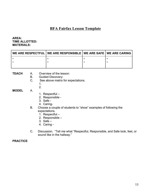## **BFA Fairfax Lesson Template**

#### **AREA: TIME ALLOTTED: MATERIALS:**

| <b>∣ WE ARE RESPECTFUL   WE ARE RESPONSIBLE   WE ARE SAFE   WE ARE CARING  </b> |  |
|---------------------------------------------------------------------------------|--|
|                                                                                 |  |
|                                                                                 |  |
|                                                                                 |  |

- **TEACH** A. Overview of the lesson:
	- B. Guided Discovery:
	- C. See above matrix for expectations.
- 1. 2.
- **MODEL** A.
- 1. Respectful –
- 2. Responsible -
- 3. Safe -
- 4. Caring-
- B. Choose a couple of students to "show" examples of following the expectations.
	- 1. Respectful –
	- 2. Responsible –
	- 3. Safe –
	- 4. Caring -
- C. Discussion. "Tell me what "Respectful, Responsible, and Safe look, feel, or sound like in the hallway."

#### **PRACTICE**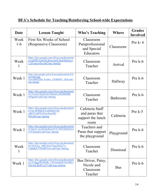## **BFA's Schedule for Teaching/Reinforcing School-wide Expectations**

| Date          | <b>Lesson Taught</b>                                                                                                    | Who's Teaching                                                 | Where           | <b>Grades</b><br><b>Involved</b> |
|---------------|-------------------------------------------------------------------------------------------------------------------------|----------------------------------------------------------------|-----------------|----------------------------------|
| Week<br>$1-6$ | First Six Weeks of School<br>(Responsive Classroom)                                                                     | Classroom<br>Paraprofessional<br>and Special<br>Educators      | Classroom       | Pre $k - 6$                      |
| Week          | https://docs.google.com/a/fwsu.org/document/<br>d/1gPERFAs4G5eLKGx16cIUJpoGQb2sevz<br>L2nl1nqxwlIw/edit?usp=sharing     | Classroom<br>Teacher                                           | Arrival         | Pre k-6                          |
| Week 1        | https://docs.google.com/a/fwsu.org/document/d/1E<br>myVBxEyhg-<br>ozwiABnZXJnS 0vuHnv ZXSRHM7 cB3k/edit?<br>usp=sharing | Classroom<br>Teacher                                           | Hallway         | Pre $k-6$                        |
| Week 1        | https://docs.google.com/a/fwsu.org/document/<br>d/1Ywo872SsQ3ctjl19IrkzltLvfE48tI8SfR-<br>nF8gckrE/edit?usp=sharing     | Classroom<br>Teacher                                           | <b>Bathroom</b> | Pre $k-6$                        |
| Week 1        | https://docs.google.com/a/fwsu.org/document/<br>d/1tm-DFRhKWwiZkDHcI1M-<br>alB52Vc8P3GVhw3IuwHS-<br>9M/edit?usp=sharing | Cafeteria Staff<br>and paras that<br>support the lunch<br>room | Cafeteria       | Pre $k-5$                        |
| Week 1        | https://docs.google.com/a/fwsu.org/document/<br>d/10jzz9 GLJtE3psIks3c07A75DYDj58XiA3<br>IAY6nnoQA/edit?usp=sharing     | Teachers and<br>Paras that support<br>the playground           | Playground      | Pre $k-6$                        |
| Week<br>1     | https://docs.google.com/a/fwsu.org/document/<br>d/11OA2Le zMFzGwUVgcZEZj27o-<br>CqfhdtnCI7DohR5Jxw/edit?usp=sharing     | Classroom<br>Teacher                                           | Dismissal       | Pre $k-6$                        |
| Week 1        | https://docs.google.com/a/fwsu.org/document/<br>d/1X1djggfWDE4tR YWAbenKJkYILMEE1<br>ZbYm8-RpWLyFY/edit?usp=sharing     | Bus Driver, Patsy,<br>Nicole and<br>Classroom<br>Teacher       | <b>Bus</b>      | Pre k-6                          |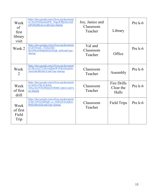| Week<br>of<br>first<br>library<br>visit | https://docs.google.com/a/fwsu.org/document/<br>d/13GxP43PdocbyhPW 3DgcIFfRjG8n1zkR<br>gWG8lyRKALw/edit?usp=sharing     | Joy, Janice and<br>Classroom<br>Teacher | Library                           | Pre $k-6$ |
|-----------------------------------------|-------------------------------------------------------------------------------------------------------------------------|-----------------------------------------|-----------------------------------|-----------|
| Week 2                                  | https://docs.google.com/a/fwsu.org/document/<br>d/1zET8ymZ-fTZIzzTjO-<br>BJ1J9WeOWRpMX6UPGjIk dsM/edit?usp=<br>sharing  | Val and<br>Classroom<br>Teacher         | Office                            | Pre $k-6$ |
| Week<br>$\overline{2}$                  | https://docs.google.com/a/fwsu.org/document/<br>d/12Rvx5o27T3JGvsQDayWVFKrrQwpEJjv<br>XmAGkOIKOkLE/edit?usp=sharing     | Classroom<br>Teacher                    | Assembly                          | Pre $k-6$ |
| Week<br>of first<br>drill               | https://docs.google.com/a/fwsu.org/document/<br>d/1sh95e57BcALRuEh-<br>X9reyXlyfV0AMNpUhVRSRC2uK6A/edit?u<br>sp=sharing | Classroom<br>Teacher                    | Fire Drills<br>Clear the<br>Halls | Pre k-6   |
| Week<br>of first<br>Field<br>Trip       | https://docs.google.com/a/fwsu.org/document/<br>d/1KCAPi2LOkb9qH ca 5ZQGyEXcaQkoL<br>9h4ZitI8ey8Zk/edit?usp=sharing     | Classroom<br>Teacher                    | <b>Field Trips</b>                | Pre $k-6$ |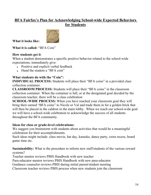## **BFA Fairfax's Plan for Acknowledging School-wide Expected Behaviors for Students**



**What it looks like:** 

**What it is called:** "BFA Coin"

## **How students get it**:

When a student demonstrates a specific positive behavior related to the school-wide expectations, immediately give:

- Positive and explicit verbal feedback
- Hand the student a "BFA coin"

## **What students do with the "Coin":**

**INDIVIDUAL PROCESS:** Students will place their "BFA coins" in a provided class collection container.

**CLASSROOM PROCESS:** Students will place their "BFA coins" in the classroom collection container. When the container is full, or at the designated goal decided by the classroom teacher, there will be a class celebration

**SCHOOL-WIDE PROCESS:** When you have reached your classroom goal they will bring their earned "BFA coins" to Nicole or Val and trade them in for a golden brick that will then be placed in the caldron in the main lobby. When we reach our school-wide goal we will have a school-wide celebration to acknowledge the success of all students throughout the BFA community.

## **Ideas for class or grade-level celebrations:**

We suggest you brainstorm with students about activities that would be a meaningful celebration for their accomplishments.

Such ideas might include: class movie, hat day, karaoke, dance party, extra recess, board game time etc.

**Sustainability:** What is the procedure to inform new staff/students of the various reward systems?

Teacher mentor reviews PBIS Handbook with new teacher

Para-educator mentor reviews PBIS Handbook with new para-educator

Guidance counselor reviews PBIS during initial parent/student meeting

Classroom teacher reviews PBIS process when new students join the classroom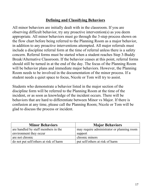## **Defining and Classifying Behaviors**

All minor behaviors are initially dealt with in the classroom. If you are observing difficult behavior, try any proactive intervention(s) as you deem appropriate. All minor behaviors must go through the 3-step process shown on the flow chart before being referred to the Planning Room as a major behavior, in addition to any proactive interventions attempted. All major referrals must include a discipline referral form at the time of referral unless there is a safety concern. Referral forms must be started when a student reaches Step 3-Buddy Break/Alternative Classroom. If the behavior ceases at this point, referral forms should still be turned in at the end of the day. The focus of the Planning Room will be behavior plans and immediate major behaviors. However, the Planning Room needs to be involved in the documentation of the minor process. If a student needs a quiet space to focus, Nicole or Tom will try to assist.

Students who demonstrate a behavior listed in the major section of the discipline form will be referred to the Planning Room at the time of the incident, or as soon as knowledge of the incident occurs. There will be behaviors that are hard to differentiate between Minor vs Major. If there is confusion at any time, please call the Planning Room; Nicole or Tom will be glad to discuss the process or incident.

| <b>Minor Behaviors</b>                 | <b>Major Behaviors</b>                     |
|----------------------------------------|--------------------------------------------|
| are handled by staff members in the    | may require administrator or planning room |
| environment they occur                 | support                                    |
| are not chronic                        | chronic minors                             |
| do not put self/others at risk of harm | put self/others at risk of harm            |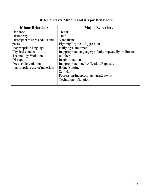## **BFA Fairfax's Minors and Major Behaviors**

| <b>Minor Behaviors</b>         | <b>Major Behaviors</b>                                  |
|--------------------------------|---------------------------------------------------------|
| Defiance                       | Threat                                                  |
| Dishonesty                     | Theft                                                   |
| Disrespect towards adults and  | Vandalism                                               |
| peers                          | Fighting/Physical Aggression                            |
| Inappropriate language         | Bullying/Harassment                                     |
| Physical contact               | Inappropriate language/profanity repeatedly or directed |
| <b>Technology Violation</b>    | to others                                               |
| Disruption                     | Insubordination                                         |
| Dress code violation           | Inappropriate touch/Affection/Exposure                  |
| Inappropriate use of materials | Biting/Spitting                                         |
|                                | Self Harm                                               |
|                                | Possession/Inappropriate unsafe items                   |
|                                | <b>Technology Violation</b>                             |
|                                |                                                         |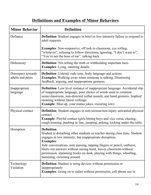## **Definitions and Examples of Minor Behaviors**

| <b>Minor Behavior</b>                  | <b>Definition</b>                                                                                                                                                                                                                                                                                                                                                                                                           |
|----------------------------------------|-----------------------------------------------------------------------------------------------------------------------------------------------------------------------------------------------------------------------------------------------------------------------------------------------------------------------------------------------------------------------------------------------------------------------------|
| Defiance                               | <b>Definition</b> : Student engages in brief or low-intensity failure to respond to<br>adult requests.                                                                                                                                                                                                                                                                                                                      |
|                                        | <b>Examples:</b> Non-responsive, off task in classroom, eye rolling,<br>"whatever", refusing to follow directions, ignoring, "I don't want to",<br>"You're not the boss of me", talking back.                                                                                                                                                                                                                               |
| Dishonesty                             | <b>Definition</b> : Not telling the truth or withholding important facts<br><b>Examples:</b> Lying, omitting details                                                                                                                                                                                                                                                                                                        |
| Disrespect towards<br>adults and peers | <b>Definition</b> : Unkind/rude tone, body language and actions<br><b>Examples:</b> Walking away when someone is talking. Dismissing<br>feedback, arguing, and inappropriate gestures.                                                                                                                                                                                                                                      |
| Inappropriate<br>language              | <b>Definition</b> : Low level instance of inappropriate language. Accidental slip<br>of inappropriate language, poor choice of words used in common<br>areas/classroom, non-directed verbal assault, and hand gestures. Implied<br>meaning without literal verbiage.<br><b>Example:</b> Shut-up, your mama jokes, swearing (etc)                                                                                            |
| Physical contact                       | <b>Definition</b> : Student engages in non-serious/non-injury unwanted physical<br>contact.<br>Example: Playful contact (girls hitting boys and vice versa, chasing,<br>rough housing, pushing in line, jumping, poking, kicking under the table.                                                                                                                                                                           |
| Disruption                             | Definition:<br>Student is disturbing other students or teacher during class time. Student<br>engages in low intensity, but inappropriate disruption.<br><b>Examples:</b><br>Side conversations, note passing, tapping fingers or pencil, outburst,<br>blurts out answers without raising hand, leaves classroom without<br>permission, slamming books on desk, playing with things, whistling,<br>humming, clowning around. |
| Technology<br>Violation                | <b>Definition:</b> Student is using devices without permission or<br>inappropriately<br><b>Examples:</b> Going on to safari without permission, cell phone use in                                                                                                                                                                                                                                                           |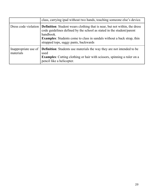|                                   | class, carrying ipad without two hands, touching someone else's device.                                                                                                                                                                                                                                                   |
|-----------------------------------|---------------------------------------------------------------------------------------------------------------------------------------------------------------------------------------------------------------------------------------------------------------------------------------------------------------------------|
|                                   | Dress code violation   <b>Definition</b> : Student wears clothing that is near, but not within, the dress<br>code guidelines defined by the school as stated in the student/parent<br>handbook.<br><b>Examples:</b> Students come to class in sandals without a back strap, thin<br>strapped tops, saggy pants, backwards |
| Inappropriate use of<br>materials | <b>Definition:</b> Students use materials the way they are not intended to be<br>used<br><b>Examples:</b> Cutting clothing or hair with scissors, spinning a ruler on a<br>pencil like a helicopter.                                                                                                                      |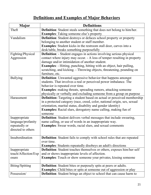## **Definitions and Examples of Major Behaviors**

| <b>Major</b>        | <b>Definitions</b>                                                             |  |  |  |  |
|---------------------|--------------------------------------------------------------------------------|--|--|--|--|
| Theft               | <b>Definition:</b> Student steals something that does not belong to him/her.   |  |  |  |  |
|                     | <b>Examples:</b> Taking someone else's property                                |  |  |  |  |
| Vandalism           | <b>Definition:</b> Student destroys or defaces school property or property     |  |  |  |  |
|                     | belonging to another student or staff member.                                  |  |  |  |  |
|                     | <b>Examples:</b> Student kicks in the restroom stall door, carves into a       |  |  |  |  |
|                     | desk/table, breaks something purposefully                                      |  |  |  |  |
| Fighting/Physical   | <b>Definition:</b> - Student engages in actions involving serious physical     |  |  |  |  |
| Aggression          | contact where injury may occur. - A loss of temper resulting in property       |  |  |  |  |
|                     | damage and/or intimidation of another student.                                 |  |  |  |  |
|                     | <b>Examples:</b> - Hitting, punching, hitting with an object, hair pulling,    |  |  |  |  |
|                     | scratching, and kicking. - Throwing objects, threatening, pounding on          |  |  |  |  |
|                     | furniture, etc.                                                                |  |  |  |  |
| <b>Bullying</b>     | <b>Definition</b> : Unwanted aggressive behavior that happens amongst          |  |  |  |  |
|                     | students. That involves a real or perceived power imbalance. The               |  |  |  |  |
|                     | behavior is repeated over time.                                                |  |  |  |  |
|                     | <b>Examples:</b> making threats, spreading rumors, attacking someone           |  |  |  |  |
|                     | physically or verbally and excluding someone from a group on purpose           |  |  |  |  |
| Harassment          | <b>Definition:</b> Targeting a student based on actual or perceived membership |  |  |  |  |
|                     | in a protected category (race, creed, color, national origin, sex, sexual      |  |  |  |  |
|                     | orientation, marital status, disability and gender identity)                   |  |  |  |  |
|                     | <b>Examples:</b> Racial slurs, derogatory name calling, making fun of          |  |  |  |  |
|                     | someone                                                                        |  |  |  |  |
| Inappropriate       | <b>Definition:</b> Student delivers verbal messages that include swearing,     |  |  |  |  |
| language/profanity  | name calling, or use of words in an inappropriate way.                         |  |  |  |  |
| repeatedly or       | <b>Examples:</b> Swear words, racial slurs, and sexual comments                |  |  |  |  |
| directed to others  |                                                                                |  |  |  |  |
| Insubordination     | <b>Definition:</b> Student fails to comply with school rules that are repeated |  |  |  |  |
|                     | over time.                                                                     |  |  |  |  |
|                     | <b>Examples:</b> Students repeatedly disobeys an adult's directions            |  |  |  |  |
| Inappropriate       | <b>Definition:</b> Student touches themselves or others, exposes him/her self  |  |  |  |  |
| touch/Affection/Exp | and or shows inappropriate levels of affection.                                |  |  |  |  |
| osure               | <b>Examples:</b> Touch or show someone your privates, kissing someone          |  |  |  |  |
| Biting/Spitting     | <b>Definition:</b> Student bites or purposely spits at peers or adults.        |  |  |  |  |
|                     |                                                                                |  |  |  |  |
| Possession/         | <b>Examples:</b> Child bites or spits at someone out of aggression or play     |  |  |  |  |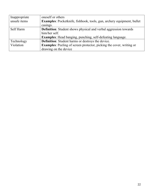| Inappropriate | oneself or others                                                           |
|---------------|-----------------------------------------------------------------------------|
| unsafe items  | Examples: Pocketknife, fishhook, tools, gun, archery equipment, bullet      |
|               | casings.                                                                    |
| Self Harm     | <b>Definition:</b> Student shows physical and verbal aggression towards     |
|               | him/her self.                                                               |
|               | <b>Examples:</b> Head banging, punching, self-defeating language.           |
| Technology    | <b>Definition:</b> Student harms or destroys the device.                    |
| Violation     | <b>Examples:</b> Peeling of screen protector, picking the cover, writing or |
|               | drawing on the device                                                       |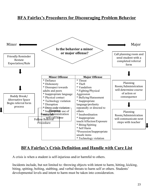## **BFA Fairfax's Procedures for Discouraging Problem Behavior**



## **BFA Fairfax's Crisis Definition and Handle with Care List**

A crisis is when a student is self-injurious and/or harmful to others.

Incidents include, but not limited to: throwing objects with intent to harm, hitting, kicking, biting, spitting, bolting, stabbing, and verbal threats to harm self or others. Students' developmental levels and intent to harm must be taken into consideration.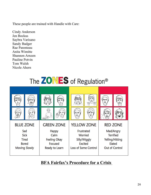These people are trained with Handle with Care:

Cindy Anderson Jen Bockus Saybra Varisano Sandy Badger Rae Parenteau Anita Wimitte Shannon Arnzen Pauline Potvin Tom Walsh Nicole Ahern





## **BFA Fairfax's Procedure for a Crisis**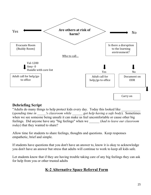

## **Debriefing Script**

"Adults do many things to help protect kids every day. Today this looked like (*spending time in \_\_\_\_\_'s classroom while \_\_\_\_\_\_ got help having a safe body*). Sometimes when we see someone being unsafe it can make us feel uncomfortable or cause other big feelings. Did anyone have any "big feelings" when we \_\_\_\_\_\_ (*had to leave our classroom today*) that they wanted to share?

Allow time for students to share feelings, thoughts and questions. Keep responses empathetic, brief and simple.

If students have questions that you don't have an answer to, know it is okay to acknowledge you don't have an answer but stress that adults will continue to work to keep all kids safe.

Let students know that if they are having trouble taking care of any big feelings they can ask for help from you or other trusted adults

## **K-2 Alternative Space Referral Form**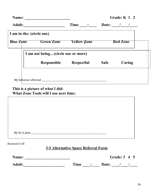|                           |                                                                                                                |                                            |             | Grade: K 1 2    |
|---------------------------|----------------------------------------------------------------------------------------------------------------|--------------------------------------------|-------------|-----------------|
|                           | Adult: Adult: Adult: Adult: Adult: Adult: Adult: Adult: Adult: Adult: Adult: Adult: Adult: Adult: Adult: Adult | Time : Date: / /                           |             |                 |
| I am in the: (circle one) |                                                                                                                |                                            |             |                 |
| <b>Blue Zone</b>          | <b>Green Zone</b>                                                                                              | <b>Yellow Zone</b>                         |             | <b>Red Zone</b> |
|                           | I am not being (circle one or more)                                                                            |                                            |             |                 |
|                           |                                                                                                                | Responsible Respectful                     | <b>Safe</b> | Caring          |
|                           |                                                                                                                |                                            |             |                 |
|                           |                                                                                                                |                                            |             |                 |
|                           | <b>What Zone Tools will I use next time:</b>                                                                   |                                            |             |                 |
| Revised 6/18              |                                                                                                                |                                            |             |                 |
|                           |                                                                                                                | <b>3-5 Alternative Space Referral Form</b> |             |                 |
|                           |                                                                                                                |                                            |             | Grade: 3 4 5    |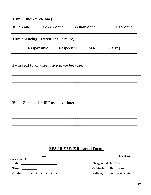| I am in the: (circle one) |                                     |                    |        |                 |
|---------------------------|-------------------------------------|--------------------|--------|-----------------|
| <b>Blue Zone</b>          | <b>Green Zone</b>                   | <b>Yellow Zone</b> |        | <b>Red Zone</b> |
|                           | I am not being (circle one or more) |                    |        |                 |
| <b>Responsible</b>        | <b>Respectful</b>                   | <b>Safe</b>        | Caring |                 |

**\_\_\_\_\_\_\_\_\_\_\_\_\_\_\_\_\_\_\_\_\_\_\_\_\_\_\_\_\_\_\_\_\_\_\_\_\_\_\_\_\_\_\_\_\_\_\_\_\_\_\_\_\_\_\_\_\_\_\_\_\_\_\_**

**\_\_\_\_\_\_\_\_\_\_\_\_\_\_\_\_\_\_\_\_\_\_\_\_\_\_\_\_\_\_\_\_\_\_\_\_\_\_\_\_\_\_\_\_\_\_\_\_\_\_\_\_\_\_\_\_\_\_\_\_\_\_\_ \_\_\_\_\_\_\_\_\_\_\_\_\_\_\_\_\_\_\_\_\_\_\_\_\_\_\_\_\_\_\_\_\_\_\_\_\_\_\_\_\_\_\_\_\_\_\_\_\_\_\_\_\_\_\_\_\_\_\_\_\_\_\_**

**\_\_\_\_\_\_\_\_\_\_\_\_\_\_\_\_\_\_\_\_\_\_\_\_\_\_\_\_\_\_\_\_\_\_\_\_\_\_\_\_\_\_\_\_\_\_\_\_\_\_\_\_\_\_\_\_\_\_\_\_\_\_\_**

**\_\_\_\_\_\_\_\_\_\_\_\_\_\_\_\_\_\_\_\_\_\_\_\_\_\_\_\_\_\_\_\_\_\_\_\_\_\_\_\_\_\_\_\_\_\_\_\_\_\_\_\_\_\_\_\_\_\_\_\_\_\_\_ \_\_\_\_\_\_\_\_\_\_\_\_\_\_\_\_\_\_\_\_\_\_\_\_\_\_\_\_\_\_\_\_\_\_\_\_\_\_\_\_\_\_\_\_\_\_\_\_\_\_\_\_\_\_\_\_\_\_\_\_\_\_\_**

**I was sent to an alternative space because:**

What Zone tools will I use next time:

## **BFA PBIS SWIS Referral Form**

| Name:                 | Location:                           |
|-----------------------|-------------------------------------|
| Revised 6/18          |                                     |
| Date:                 | Playground Library                  |
| Time: _____:_____     | <b>Bathroom</b><br><b>Cafeteria</b> |
| K 1 2 3 4 5<br>Grade: | Arrival/Dismissal<br><b>Hallway</b> |